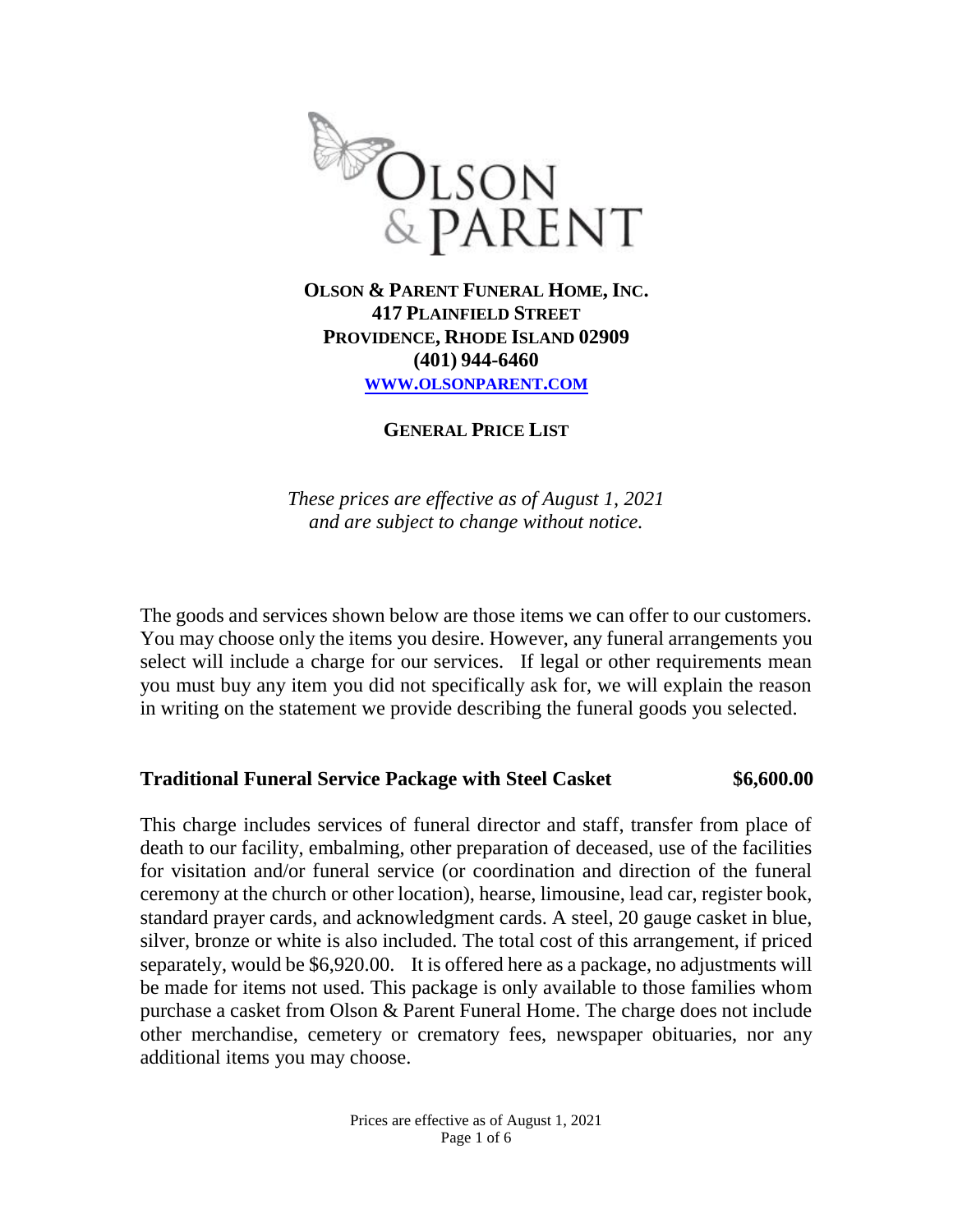

**417 PLAINFIELD STREET PROVIDENCE, RHODE ISLAND 02909 (401) 944-6460 WWW.[OLSONPARENT](http://www.olsonparent.com/).COM**

**GENERAL PRICE LIST**

*These prices are effective as of August 1, 2021 and are subject to change without notice.* 

The goods and services shown below are those items we can offer to our customers. You may choose only the items you desire. However, any funeral arrangements you select will include a charge for our services. If legal or other requirements mean you must buy any item you did not specifically ask for, we will explain the reason in writing on the statement we provide describing the funeral goods you selected.

#### **Traditional Funeral Service Package with Steel Casket \$6,600.00**

This charge includes services of funeral director and staff, transfer from place of death to our facility, embalming, other preparation of deceased, use of the facilities for visitation and/or funeral service (or coordination and direction of the funeral ceremony at the church or other location), hearse, limousine, lead car, register book, standard prayer cards, and acknowledgment cards. A steel, 20 gauge casket in blue, silver, bronze or white is also included. The total cost of this arrangement, if priced separately, would be \$6,920.00. It is offered here as a package, no adjustments will be made for items not used. This package is only available to those families whom purchase a casket from Olson & Parent Funeral Home. The charge does not include other merchandise, cemetery or crematory fees, newspaper obituaries, nor any additional items you may choose.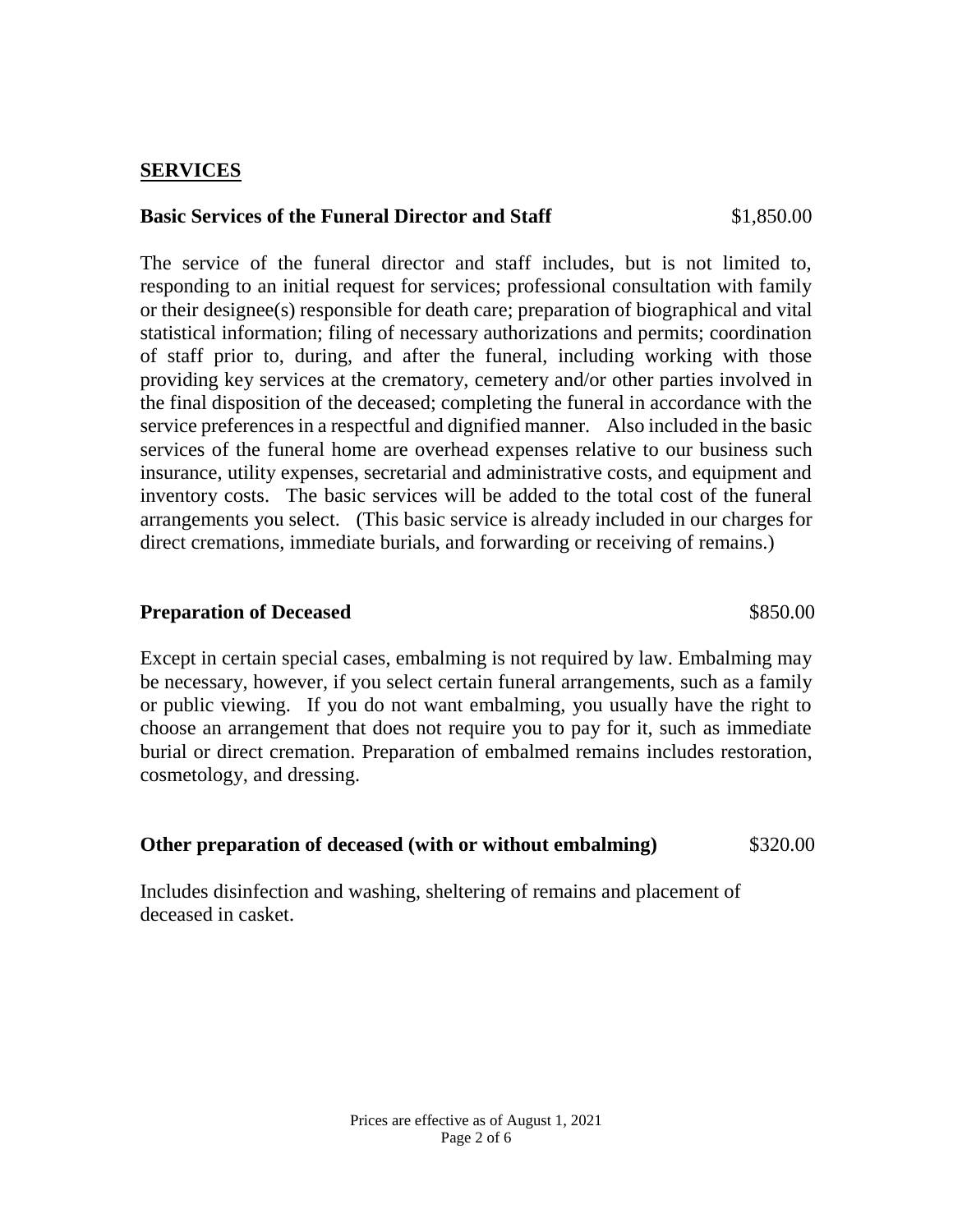#### **SERVICES**

#### **Basic Services of the Funeral Director and Staff** \$1,850.00

The service of the funeral director and staff includes, but is not limited to, responding to an initial request for services; professional consultation with family or their designee(s) responsible for death care; preparation of biographical and vital statistical information; filing of necessary authorizations and permits; coordination of staff prior to, during, and after the funeral, including working with those providing key services at the crematory, cemetery and/or other parties involved in the final disposition of the deceased; completing the funeral in accordance with the service preferences in a respectful and dignified manner. Also included in the basic services of the funeral home are overhead expenses relative to our business such insurance, utility expenses, secretarial and administrative costs, and equipment and inventory costs. The basic services will be added to the total cost of the funeral arrangements you select. (This basic service is already included in our charges for direct cremations, immediate burials, and forwarding or receiving of remains.)

#### **Preparation of Deceased 3850.00**

Except in certain special cases, embalming is not required by law. Embalming may be necessary, however, if you select certain funeral arrangements, such as a family or public viewing. If you do not want embalming, you usually have the right to choose an arrangement that does not require you to pay for it, such as immediate burial or direct cremation. Preparation of embalmed remains includes restoration, cosmetology, and dressing.

### **Other preparation of deceased (with or without embalming)** \$320.00

Includes disinfection and washing, sheltering of remains and placement of deceased in casket.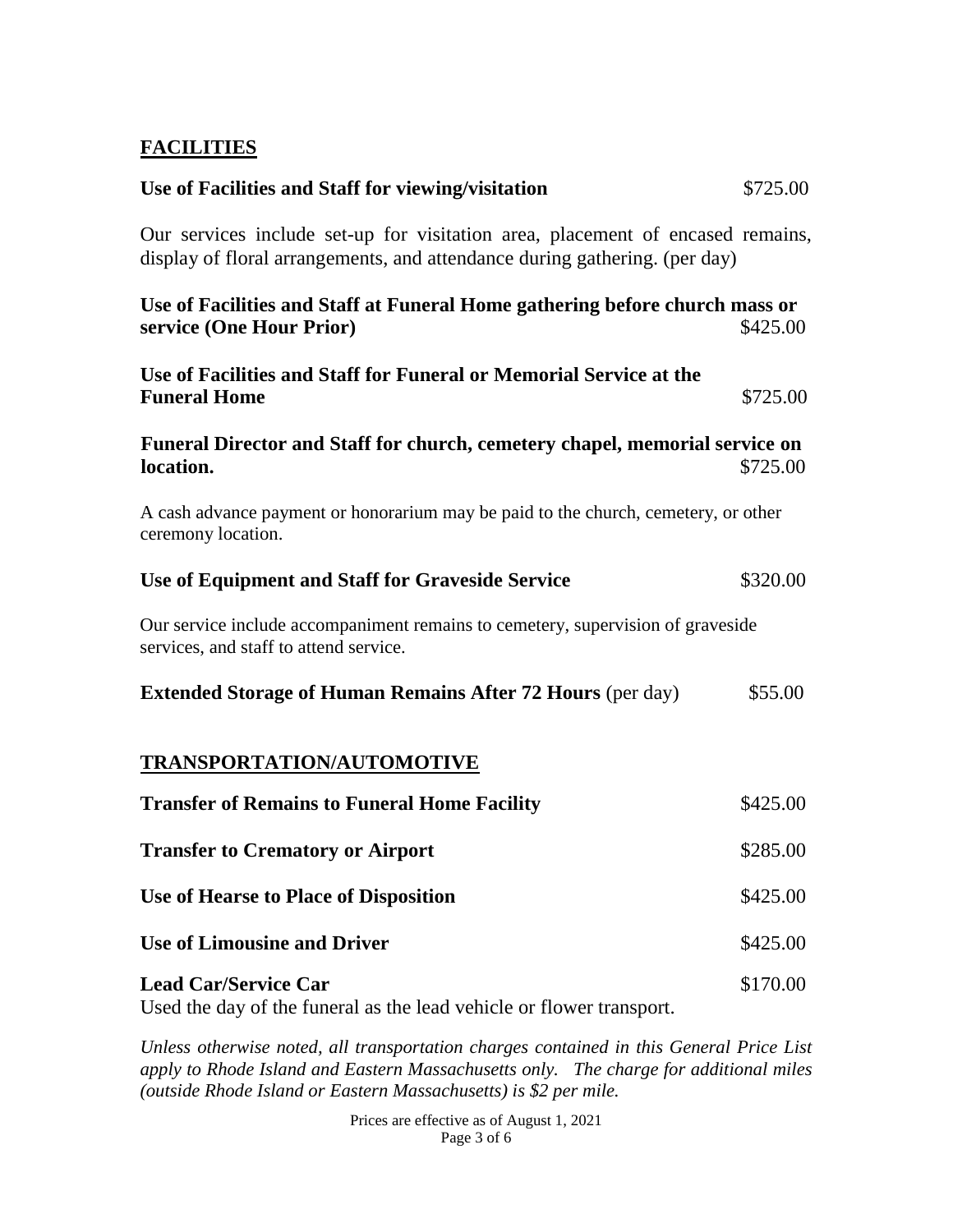# **FACILITIES**

| Use of Facilities and Staff for viewing/visitation                                                                                                           | \$725.00 |
|--------------------------------------------------------------------------------------------------------------------------------------------------------------|----------|
| Our services include set-up for visitation area, placement of encased remains,<br>display of floral arrangements, and attendance during gathering. (per day) |          |
| Use of Facilities and Staff at Funeral Home gathering before church mass or<br>service (One Hour Prior)                                                      | \$425.00 |
| Use of Facilities and Staff for Funeral or Memorial Service at the<br><b>Funeral Home</b>                                                                    | \$725.00 |
| Funeral Director and Staff for church, cemetery chapel, memorial service on<br>location.                                                                     | \$725.00 |
| A cash advance payment or honorarium may be paid to the church, cemetery, or other<br>ceremony location.                                                     |          |
| Use of Equipment and Staff for Graveside Service                                                                                                             | \$320.00 |
| Our service include accompaniment remains to cemetery, supervision of graveside<br>services, and staff to attend service.                                    |          |
| <b>Extended Storage of Human Remains After 72 Hours (per day)</b>                                                                                            | \$55.00  |
| <b>TRANSPORTATION/AUTOMOTIVE</b>                                                                                                                             |          |
| <b>Transfer of Remains to Funeral Home Facility</b>                                                                                                          | \$425.00 |
| <b>Transfer to Crematory or Airport</b>                                                                                                                      | \$285.00 |
| Use of Hearse to Place of Disposition                                                                                                                        | \$425.00 |
| <b>Use of Limousine and Driver</b>                                                                                                                           | \$425.00 |
| <b>Lead Car/Service Car</b><br>Used the day of the funeral as the lead vehicle or flower transport.                                                          | \$170.00 |

*Unless otherwise noted, all transportation charges contained in this General Price List apply to Rhode Island and Eastern Massachusetts only. The charge for additional miles (outside Rhode Island or Eastern Massachusetts) is \$2 per mile.* 

> Prices are effective as of August 1, 2021 Page 3 of 6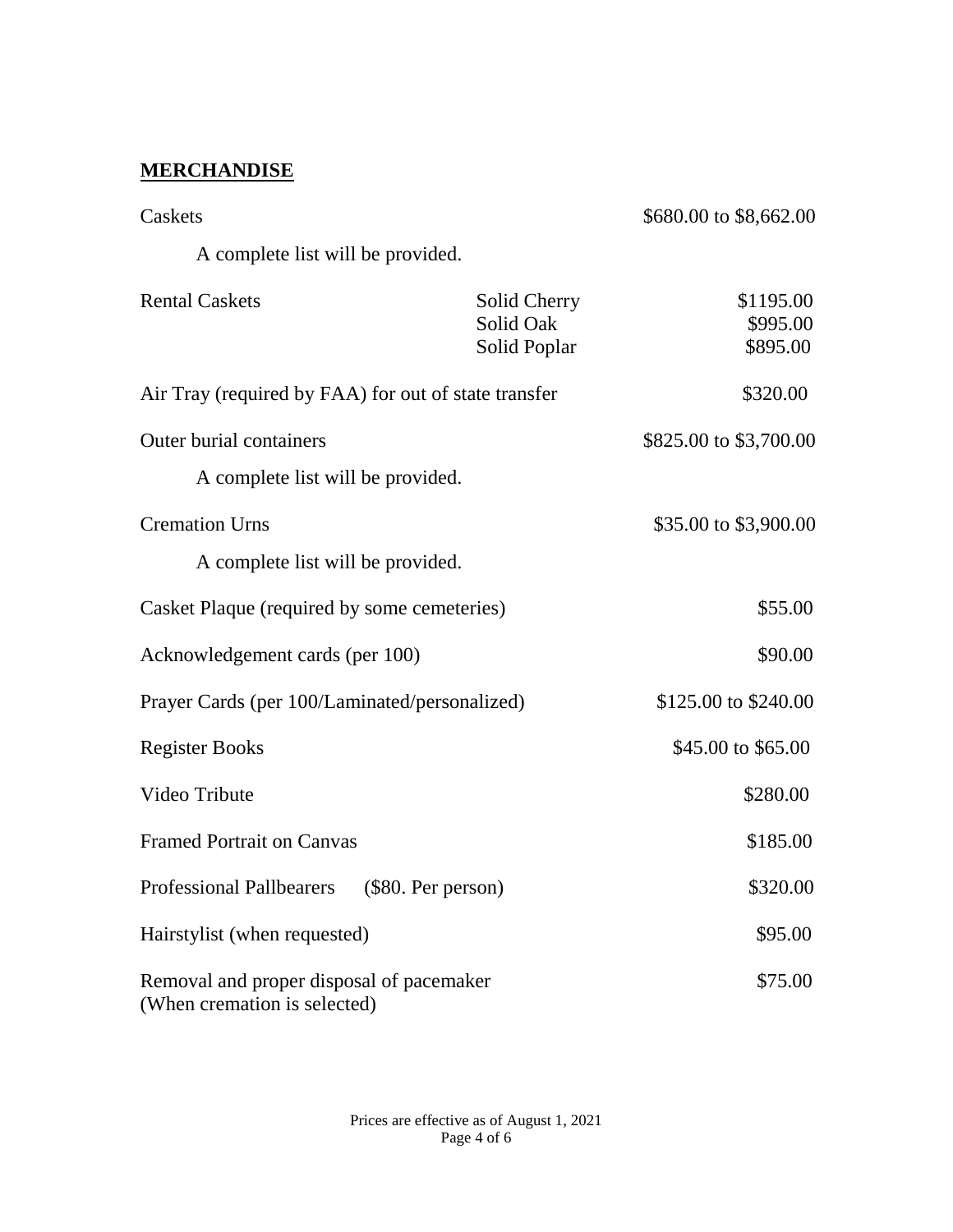# **MERCHANDISE**

| Caskets                                                                  |                                           | \$680.00 to \$8,662.00            |
|--------------------------------------------------------------------------|-------------------------------------------|-----------------------------------|
| A complete list will be provided.                                        |                                           |                                   |
| <b>Rental Caskets</b>                                                    | Solid Cherry<br>Solid Oak<br>Solid Poplar | \$1195.00<br>\$995.00<br>\$895.00 |
| Air Tray (required by FAA) for out of state transfer                     |                                           | \$320.00                          |
| <b>Outer burial containers</b><br>A complete list will be provided.      |                                           | \$825.00 to \$3,700.00            |
| <b>Cremation Urns</b><br>A complete list will be provided.               |                                           | \$35.00 to \$3,900.00             |
| Casket Plaque (required by some cemeteries)                              |                                           | \$55.00                           |
| Acknowledgement cards (per 100)                                          |                                           | \$90.00                           |
| Prayer Cards (per 100/Laminated/personalized)                            |                                           | \$125.00 to \$240.00              |
| <b>Register Books</b>                                                    |                                           | \$45.00 to \$65.00                |
| Video Tribute                                                            |                                           | \$280.00                          |
| <b>Framed Portrait on Canvas</b>                                         |                                           | \$185.00                          |
| <b>Professional Pallbearers</b>                                          | (\$80. Per person)                        | \$320.00                          |
| Hairstylist (when requested)                                             |                                           | \$95.00                           |
| Removal and proper disposal of pacemaker<br>(When cremation is selected) |                                           | \$75.00                           |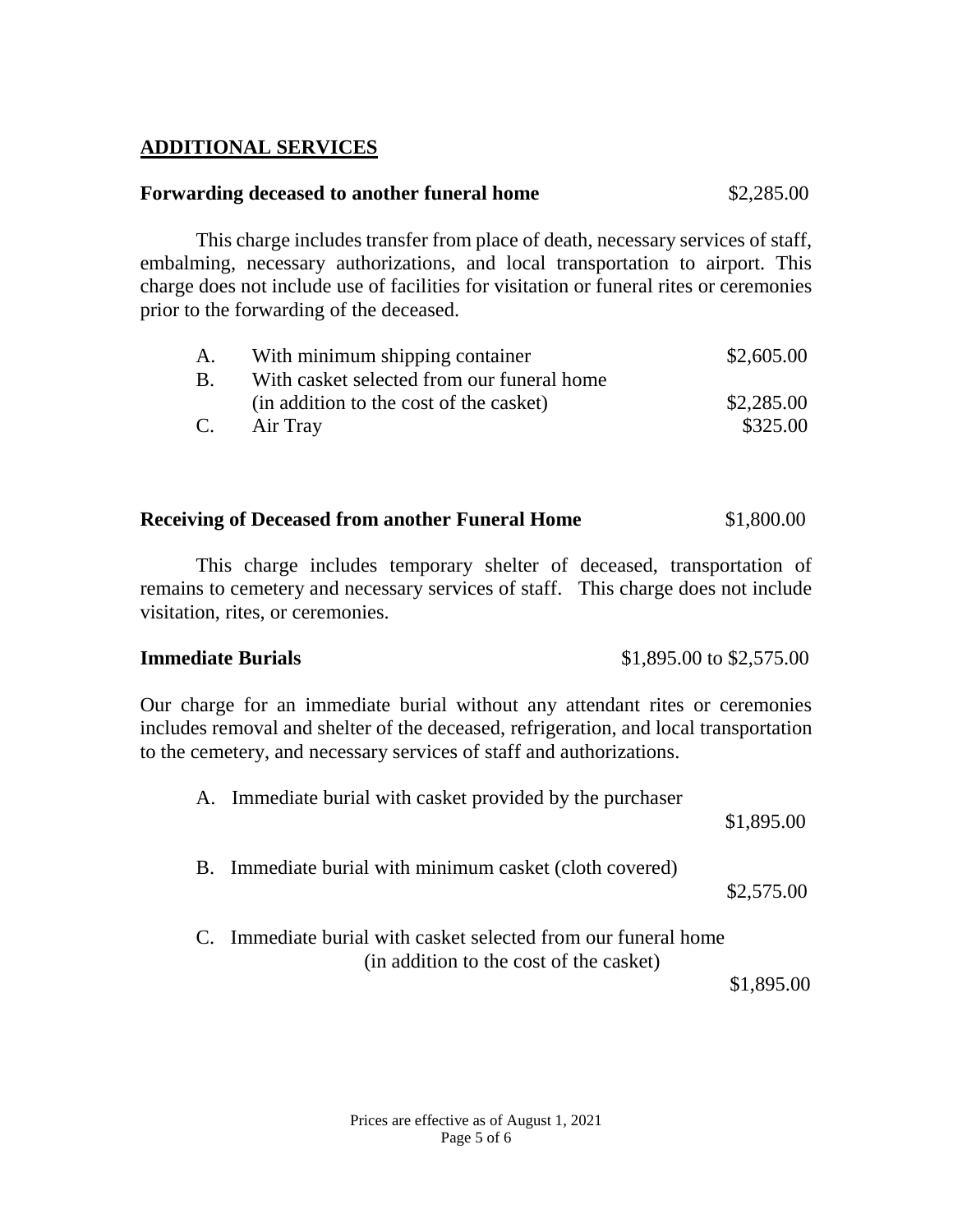# **ADDITIONAL SERVICES**

# **Forwarding deceased to another funeral home** \$2,285.00

This charge includes transfer from place of death, necessary services of staff, embalming, necessary authorizations, and local transportation to airport. This charge does not include use of facilities for visitation or funeral rites or ceremonies prior to the forwarding of the deceased.

|           | With minimum shipping container            | \$2,605.00 |
|-----------|--------------------------------------------|------------|
| <b>B.</b> | With casket selected from our funeral home |            |
|           | (in addition to the cost of the casket)    | \$2,285.00 |
| C.        | Air Tray                                   | \$325.00   |

### **Receiving of Deceased from another Funeral Home** \$1,800.00

This charge includes temporary shelter of deceased, transportation of remains to cemetery and necessary services of staff. This charge does not include visitation, rites, or ceremonies.

#### **Immediate Burials** \$1,895.00 to \$2,575.00

Our charge for an immediate burial without any attendant rites or ceremonies includes removal and shelter of the deceased, refrigeration, and local transportation to the cemetery, and necessary services of staff and authorizations.

| A. Immediate burial with casket provided by the purchaser                                                 | \$1,895.00 |
|-----------------------------------------------------------------------------------------------------------|------------|
| B. Immediate burial with minimum casket (cloth covered)                                                   | \$2,575.00 |
| C. Immediate burial with casket selected from our funeral home<br>(in addition to the cost of the casket) | \$1,895.00 |